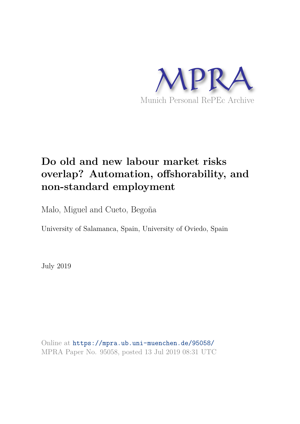

# **Do old and new labour market risks overlap? Automation, offshorability, and non-standard employment**

Malo, Miguel and Cueto, Begoña

University of Salamanca, Spain, University of Oviedo, Spain

July 2019

Online at https://mpra.ub.uni-muenchen.de/95058/ MPRA Paper No. 95058, posted 13 Jul 2019 08:31 UTC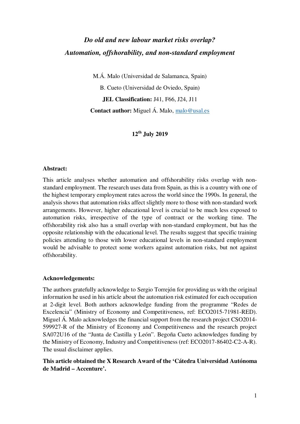# *Do old and new labour market risks overlap? Automation, offshorability, and non-standard employment*

M.Á. Malo (Universidad de Salamanca, Spain)

B. Cueto (Universidad de Oviedo, Spain) **JEL Classification:** J41, F66, J24, J11 **Contact author:** Miguel Á. Malo, malo@usal.es

#### **12th July 2019**

#### **Abstract:**

This article analyses whether automation and offshorability risks overlap with nonstandard employment. The research uses data from Spain, as this is a country with one of the highest temporary employment rates across the world since the 1990s. In general, the analysis shows that automation risks affect slightly more to those with non-standard work arrangements. However, higher educational level is crucial to be much less exposed to automation risks, irrespective of the type of contract or the working time. The offshorability risk also has a small overlap with non-standard employment, but has the opposite relationship with the educational level. The results suggest that specific training policies attending to those with lower educational levels in non-standard employment would be advisable to protect some workers against automation risks, but not against offshorability.

#### **Acknowledgements:**

The authors gratefully acknowledge to Sergio Torrejón for providing us with the original information he used in his article about the automation risk estimated for each occupation at 2-digit level. Both authors acknowledge funding from the programme "Redes de Excelencia" (Ministry of Economy and Competitiveness, ref: ECO2015-71981-RED). Miguel Á. Malo acknowledges the financial support from the research project CSO2014- 599927-R of the Ministry of Economy and Competitiveness and the research project SA072U16 of the "Junta de Castilla y León". Begoña Cueto acknowledges funding by the Ministry of Economy, Industry and Competitiveness (ref: ECO2017-86402-C2-A-R). The usual disclaimer applies.

#### **This article obtained the X Research Award of the 'Cátedra Universidad Autónoma de Madrid – Accenture'.**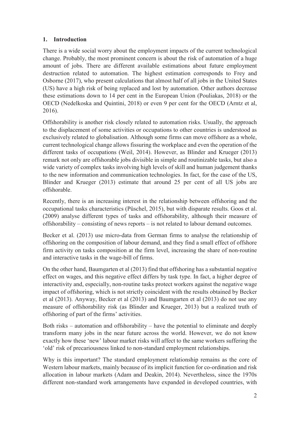# **1. Introduction**

There is a wide social worry about the employment impacts of the current technological change. Probably, the most prominent concern is about the risk of automation of a huge amount of jobs. There are different available estimations about future employment destruction related to automation. The highest estimation corresponds to Frey and Osborne (2017), who present calculations that almost half of all jobs in the United States (US) have a high risk of being replaced and lost by automation. Other authors decrease these estimations down to 14 per cent in the European Union (Pouliakas, 2018) or the OECD (Nedelkoska and Quintini, 2018) or even 9 per cent for the OECD (Arntz et al, 2016).

Offshorability is another risk closely related to automation risks. Usually, the approach to the displacement of some activities or occupations to other countries is understood as exclusively related to globalisation. Although some firms can move offshore as a whole, current technological change allows fissuring the workplace and even the operation of the different tasks of occupations (Weil, 2014). However, as Blinder and Krueger (2013) remark not only are offshorable jobs divisible in simple and routinizable tasks, but also a wide variety of complex tasks involving high levels of skill and human judgement thanks to the new information and communication technologies. In fact, for the case of the US, Blinder and Krueger (2013) estimate that around 25 per cent of all US jobs are offshorable.

Recently, there is an increasing interest in the relationship between offshoring and the occupational tasks characteristics (Püschel, 2015), but with disparate results. Goos et al. (2009) analyse different types of tasks and offshorability, although their measure of offshorability – consisting of news reports – is not related to labour demand outcomes.

Becker et al. (2013) use micro-data from German firms to analyse the relationship of offshoring on the composition of labour demand, and they find a small effect of offshore firm activity on tasks composition at the firm level, increasing the share of non-routine and interactive tasks in the wage-bill of firms.

On the other hand, Baumgarten et al (2013) find that offshoring has a substantial negative effect on wages, and this negative effect differs by task type. In fact, a higher degree of interactivity and, especially, non-routine tasks protect workers against the negative wage impact of offshoring, which is not strictly coincident with the results obtained by Becker et al (2013). Anyway, Becker et al (2013) and Baumgarten et al (2013) do not use any measure of offshorability risk (as Blinder and Krueger, 2013) but a realized truth of offshoring of part of the firms' activities.

Both risks – automation and offshorability – have the potential to eliminate and deeply transform many jobs in the near future across the world. However, we do not know exactly how these 'new' labour market risks will affect to the same workers suffering the 'old' risk of precariousness linked to non-standard employment relationships.

Why is this important? The standard employment relationship remains as the core of Western labour markets, mainly because of its implicit function for co-ordination and risk allocation in labour markets (Adam and Deakin, 2014). Nevertheless, since the 1970s different non-standard work arrangements have expanded in developed countries, with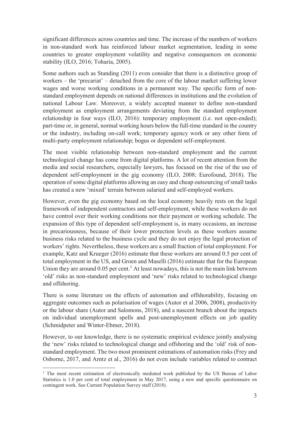significant differences across countries and time. The increase of the numbers of workers in non-standard work has reinforced labour market segmentation, leading in some countries to greater employment volatility and negative consequences on economic stability (ILO, 2016; Toharia, 2005).

Some authors such as Standing (2011) even consider that there is a distinctive group of workers – the 'precariat' – detached from the core of the labour market suffering lower wages and worse working conditions in a permanent way. The specific form of nonstandard employment depends on national differences in institutions and the evolution of national Labour Law. Moreover, a widely accepted manner to define non-standard employment as employment arrangements deviating from the standard employment relationship in four ways (ILO, 2016): temporary employment (i.e. not open-ended); part-time or, in general, normal working hours below the full-time standard in the country or the industry, including on-call work; temporary agency work or any other form of multi-party employment relationship; bogus or dependent self-employment.

The most visible relationship between non-standard employment and the current technological change has come from digital platforms. A lot of recent attention from the media and social researchers, especially lawyers, has focused on the rise of the use of dependent self-employment in the gig economy (ILO, 2008; Eurofound, 2018). The operation of some digital platforms allowing an easy and cheap outsourcing of small tasks has created a new 'mixed' terrain between salaried and self-employed workers.

However, even the gig economy based on the local economy heavily rests on the legal framework of independent contractors and self-employment, while these workers do not have control over their working conditions nor their payment or working schedule. The expansion of this type of dependent self-employment is, in many occasions, an increase in precariousness, because of their lower protection levels as these workers assume business risks related to the business cycle and they do not enjoy the legal protection of workers' rights. Nevertheless, these workers are a small fraction of total employment. For example, Katz and Krueger (2016) estimate that these workers are around 0.5 per cent of total employment in the US, and Groen and Maselli (2016) estimate that for the European Union they are around  $0.05$  per cent.<sup>1</sup> At least nowadays, this is not the main link between 'old' risks as non-standard employment and 'new' risks related to technological change and offshoring.

There is some literature on the effects of automation and offshorability, focusing on aggregate outcomes such as polarisation of wages (Autor et al 2006, 2008), productivity or the labour share (Autor and Salomons, 2018), and a nascent branch about the impacts on individual unemployment spells and post-unemployment effects on job quality (Schmidpeter and Winter-Ebmer, 2018).

However, to our knowledge, there is no systematic empirical evidence jointly analysing the 'new' risks related to technological change and offshoring and the 'old' risk of nonstandard employment. The two most prominent estimations of automation risks (Frey and Osborne, 2017, and Arntz et al., 2016) do not even include variables related to contract

 $\overline{a}$ 

<sup>&</sup>lt;sup>1</sup> The most recent estimation of electronically mediated work published by the US Bureau of Labor Statistics is 1.0 per cent of total employment in May 2017, using a new and specific questionnaire on contingent work. See Current Population Survey staff (2018).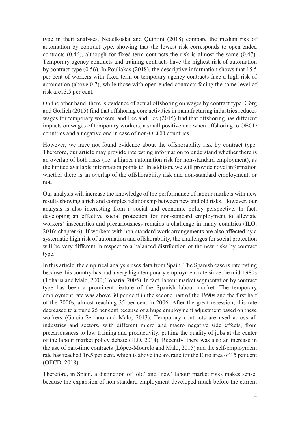type in their analyses. Nedelkoska and Quintini (2018) compare the median risk of automation by contract type, showing that the lowest risk corresponds to open-ended contracts (0.46), although for fixed-term contracts the risk is almost the same (0.47). Temporary agency contracts and training contracts have the highest risk of automation by contract type (0.56). In Pouliakas (2018), the descriptive information shows that 15.5 per cent of workers with fixed-term or temporary agency contracts face a high risk of automation (above 0.7), while those with open-ended contracts facing the same level of risk are13.5 per cent.

On the other hand, there is evidence of actual offshoring on wages by contract type. Görg and Görlich (2015) find that offshoring core activities in manufacturing industries reduces wages for temporary workers, and Lee and Lee (2015) find that offshoring has different impacts on wages of temporary workers, a small positive one when offshoring to OECD countries and a negative one in case of non-OECD countries.

However, we have not found evidence about the offshorability risk by contract type. Therefore, our article may provide interesting information to understand whether there is an overlap of both risks (i.e. a higher automation risk for non-standard employment), as the limited available information points to. In addition, we will provide novel information whether there is an overlap of the offshorability risk and non-standard employment, or not.

Our analysis will increase the knowledge of the performance of labour markets with new results showing a rich and complex relationship between new and old risks. However, our analysis is also interesting from a social and economic policy perspective. In fact, developing an effective social protection for non-standard employment to alleviate workers' insecurities and precariousness remains a challenge in many countries (ILO, 2016; chapter 6). If workers with non-standard work arrangements are also affected by a systematic high risk of automation and offshorability, the challenges for social protection will be very different in respect to a balanced distribution of the new risks by contract type.

In this article, the empirical analysis uses data from Spain. The Spanish case is interesting because this country has had a very high temporary employment rate since the mid-1980s (Toharia and Malo, 2000; Toharia, 2005). In fact, labour market segmentation by contract type has been a prominent feature of the Spanish labour market. The temporary employment rate was above 30 per cent in the second part of the 1990s and the first half of the 2000s, almost reaching 35 per cent in 2006. After the great recession, this rate decreased to around 25 per cent because of a huge employment adjustment based on these workers (García-Serrano and Malo, 2013). Temporary contracts are used across all industries and sectors, with different micro and macro negative side effects, from precariousness to low training and productivity, putting the quality of jobs at the center of the labour market policy debate (ILO, 2014). Recently, there was also an increase in the use of part-time contracts (López-Mourelo and Malo, 2015) and the self-employment rate has reached 16.5 per cent, which is above the average for the Euro area of 15 per cent (OECD, 2018).

Therefore, in Spain, a distinction of 'old' and 'new' labour market risks makes sense, because the expansion of non-standard employment developed much before the current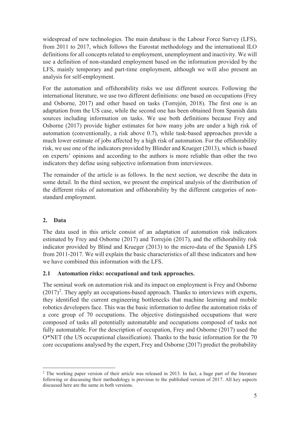widespread of new technologies. The main database is the Labour Force Survey (LFS), from 2011 to 2017, which follows the Eurostat methodology and the international ILO definitions for all concepts related to employment, unemployment and inactivity. We will use a definition of non-standard employment based on the information provided by the LFS, mainly temporary and part-time employment, although we will also present an analysis for self-employment.

For the automation and offshorability risks we use different sources. Following the international literature, we use two different definitions: one based on occupations (Frey and Osborne, 2017) and other based on tasks (Torrejón, 2018). The first one is an adaptation from the US case, while the second one has been obtained from Spanish data sources including information on tasks. We use both definitions because Frey and Osborne (2017) provide higher estimates for how many jobs are under a high risk of automation (conventionally, a risk above 0.7), while task-based approaches provide a much lower estimate of jobs affected by a high risk of automation. For the offshorability risk, we use one of the indicators provided by Blinder and Krueger (2013), which is based on experts' opinions and according to the authors is more reliable than other the two indicators they define using subjective information from interviewees.

The remainder of the article is as follows. In the next section, we describe the data in some detail. In the third section, we present the empirical analysis of the distribution of the different risks of automation and offshorability by the different categories of nonstandard employment.

# **2. Data**

The data used in this article consist of an adaptation of automation risk indicators estimated by Frey and Osborne (2017) and Torrejón (2017), and the offshorability risk indicator provided by Blind and Krueger (2013) to the micro-data of the Spanish LFS from 2011-2017. We will explain the basic characteristics of all these indicators and how we have combined this information with the LFS.

#### **2.1 Automation risks: occupational and task approaches.**

The seminal work on automation risk and its impact on employment is Frey and Osborne  $(2017)^2$ . They apply an occupations-based approach. Thanks to interviews with experts, they identified the current engineering bottlenecks that machine learning and mobile robotics developers face. This was the basic information to define the automation risks of a core group of 70 occupations. The objective distinguished occupations that were composed of tasks all potentially automatable and occupations composed of tasks not fully automatable. For the description of occupation, Frey and Osborne (2017) used the O\*NET (the US occupational classification). Thanks to the basic information for the 70 core occupations analysed by the expert, Frey and Osborne (2017) predict the probability

 $\overline{a}$ <sup>2</sup> The working paper version of their article was released in 2013. In fact, a huge part of the literature following or discussing their methodology is previous to the published version of 2017. All key aspects discussed here are the same in both versions.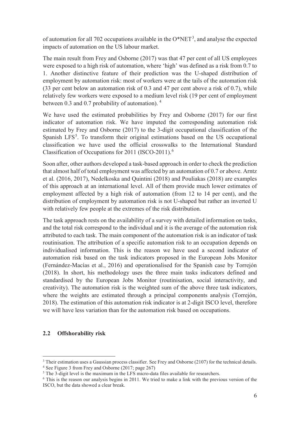of automation for all 702 occupations available in the  $O^*NET^3$ , and analyse the expected impacts of automation on the US labour market.

The main result from Frey and Osborne (2017) was that 47 per cent of all US employees were exposed to a high risk of automation, where 'high' was defined as a risk from 0.7 to 1. Another distinctive feature of their prediction was the U-shaped distribution of employment by automation risk: most of workers were at the tails of the automation risk (33 per cent below an automation risk of 0.3 and 47 per cent above a risk of 0.7), while relatively few workers were exposed to a medium level risk (19 per cent of employment between 0.3 and 0.7 probability of automation).  $4\overline{ }$ 

We have used the estimated probabilities by Frey and Osborne (2017) for our first indicator of automation risk. We have imputed the corresponding automation risk estimated by Frey and Osborne (2017) to the 3-digit occupational classification of the Spanish LFS<sup>5</sup>. To transform their original estimations based on the US occupational classification we have used the official crosswalks to the International Standard Classification of Occupations for 2011 (ISCO-2011).<sup>6</sup>

Soon after, other authors developed a task-based approach in order to check the prediction that almost half of total employment was affected by an automation of 0.7 or above. Arntz et al. (2016, 2017), Nedelkoska and Quintini (2018) and Pouliakas (2018) are examples of this approach at an international level. All of them provide much lower estimates of employment affected by a high risk of automation (from 12 to 14 per cent), and the distribution of employment by automation risk is not U-shaped but rather an inverted U with relatively few people at the extremes of the risk distribution.

The task approach rests on the availability of a survey with detailed information on tasks, and the total risk correspond to the individual and it is the average of the automation risk attributed to each task. The main component of the automation risk is an indicator of task routinisation. The attribution of a specific automation risk to an occupation depends on individualised information. This is the reason we have used a second indicator of automation risk based on the task indicators proposed in the European Jobs Monitor (Fernández-Macías et al., 2016) and operationalised for the Spanish case by Torrejón (2018). In short, his methodology uses the three main tasks indicators defined and standardised by the European Jobs Monitor (routinisation, social interactivity, and creativity). The automation risk is the weighted sum of the above three task indicators, where the weights are estimated through a principal components analysis (Torrejón, 2018). The estimation of this automation risk indicator is at 2-digit ISCO level, therefore we will have less variation than for the automation risk based on occupations.

#### **2.2 Offshorability risk**

-

<sup>&</sup>lt;sup>3</sup> Their estimation uses a Gaussian process classifier. See Frey and Osborne (2107) for the technical details.

<sup>&</sup>lt;sup>4</sup> See Figure 3 from Frey and Osborne (2017; page 267)

<sup>&</sup>lt;sup>5</sup> The 3-digit level is the maximum in the LFS micro-data files available for researchers.

<sup>&</sup>lt;sup>6</sup> This is the reason our analysis begins in 2011. We tried to make a link with the previous version of the ISCO, but the data showed a clear break.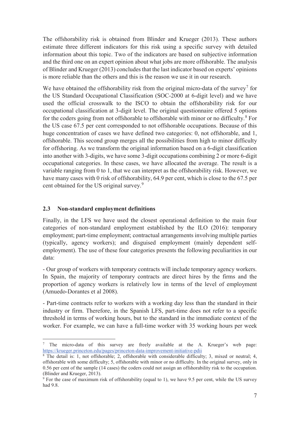The offshorability risk is obtained from Blinder and Krueger (2013). These authors estimate three different indicators for this risk using a specific survey with detailed information about this topic. Two of the indicators are based on subjective information and the third one on an expert opinion about what jobs are more offshorable. The analysis of Blinder and Krueger (2013) concludes that the last indicator based on experts' opinions is more reliable than the others and this is the reason we use it in our research.

We have obtained the offshorability risk from the original micro-data of the survey<sup>7</sup> for the US Standard Occupational Classification (SOC-2000 at 6-digit level) and we have used the official crosswalk to the ISCO to obtain the offshorability risk for our occupational classification at 3-digit level. The original questionnaire offered 5 options for the coders going from not offshorable to offshorable with minor or no difficulty.<sup>8</sup> For the US case 67.5 per cent corresponded to not offshorable occupations. Because of this huge concentration of cases we have defined two categories: 0, not offshorable, and 1, offshorable. This second group merges all the possibilities from high to minor difficulty for offshoring. As we transform the original information based on a 6-digit classification into another with 3-digits, we have some 3-digit occupations combining 2 or more 6-digit occupational categories. In these cases, we have allocated the average. The result is a variable ranging from 0 to 1, that we can interpret as the offshorability risk. However, we have many cases with 0 risk of offshorability, 64.9 per cent, which is close to the 67.5 per cent obtained for the US original survey.<sup>9</sup>

#### **2.3 Non-standard employment definitions**

Finally, in the LFS we have used the closest operational definition to the main four categories of non-standard employment established by the ILO (2016): temporary employment; part-time employment; contractual arrangements involving multiple parties (typically, agency workers); and disguised employment (mainly dependent selfemployment). The use of these four categories presents the following peculiarities in our data:

- Our group of workers with temporary contracts will include temporary agency workers. In Spain, the majority of temporary contracts are direct hires by the firms and the proportion of agency workers is relatively low in terms of the level of employment (Amuedo-Dorantes et al 2008).

- Part-time contracts refer to workers with a working day less than the standard in their industry or firm. Therefore, in the Spanish LFS, part-time does not refer to a specific threshold in terms of working hours, but to the standard in the immediate context of the worker. For example, we can have a full-time worker with 35 working hours per week

<sup>-</sup><sup>7</sup> The micro-data of this survey are freely available at the A. Krueger's web page: https://krueger.princeton.edu/pages/princeton-data-improvement-initiative-pdii

<sup>&</sup>lt;sup>8</sup> The detail is: 1, not offshorable; 2, offshorable with considerable difficulty; 3, mixed or neutral; 4, offshorable with some difficulty; 5, offshorable with minor or no difficulty. In the original survey, only in 0.56 per cent of the sample (14 cases) the coders could not assign an offshorability risk to the occupation. (Blinder and Krueger, 2013).

<sup>&</sup>lt;sup>9</sup> For the case of maximum risk of offshorability (equal to 1), we have 9.5 per cent, while the US survey had 9.8.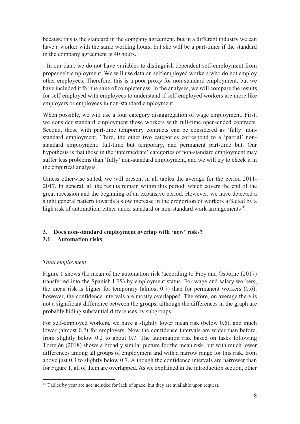because this is the standard in the company agreement, but in a different industry we can have a worker with the same working hours, but she will be a part-timer if the standard in the company agreement is 40 hours.

- In our data, we do not have variables to distinguish dependent self-employment from proper self-employment. We will use data on self-employed workers who do not employ other employees. Therefore, this is a poor proxy for non-standard employment, but we have included it for the sake of completeness. In the analyses, we will compare the results for self-employed with employees to understand if self-employed workers are more like employers or employees in non-standard employment.

When possible, we will use a four category disaggregation of wage employment. First, we consider standard employment those workers with full-time open-ended contracts. Second, those with part-time temporary contracts can be considered as 'fully' nonstandard employment. Third, the other two categories correspond to a 'partial' nonstandard employment: full-time but temporary, and permanent part-time but. Our hypothesis is that those in the 'intermediate' categories of non-standard employment may suffer less problems than 'fully' non-standard employment, and we will try to check it in the empirical analysis.

Unless otherwise stated, we will present in all tables the average for the period 2011- 2017. In general, all the results remain within this period, which covers the end of the great recession and the beginning of an expansive period. However, we have detected a slight general pattern towards a slow increase in the proportion of workers affected by a high risk of automation, either under standard or non-standard work arrangements<sup>10</sup>.

# **3. Does non-standard employment overlap with 'new' risks?**

#### **3.1 Automation risks**

# *Total employment*

Figure 1 shows the mean of the automation risk (according to Frey and Osborne (2017) transferred into the Spanish LFS) by employment status. For wage and salary workers, the mean risk is higher for temporary (almost  $0.7$ ) than for permanent workers  $(0.6)$ ; however, the confidence intervals are mostly overlapped. Therefore, on average there is not a significant difference between the groups, although the differences in the graph are probably hiding substantial differences by subgroups.

For self-employed workers, we have a slightly lower mean risk (below 0.6), and much lower (almost 0.2) for employers. Now the confidence intervals are wider than before, from slightly below 0.2 to about 0.7. The automation risk based on tasks following Torrejón (2018) shows a broadly similar picture for the mean risk, but with much lower differences among all groups of employment and with a narrow range for this risk, from above just 0.3 to slightly below 0.7. Although the confidence intervals are narrower than for Figure 1, all of them are overlapped. As we explained in the introduction section, other

 $\overline{a}$ <sup>10</sup> Tables by year are not included for lack of space, but they are available upon request.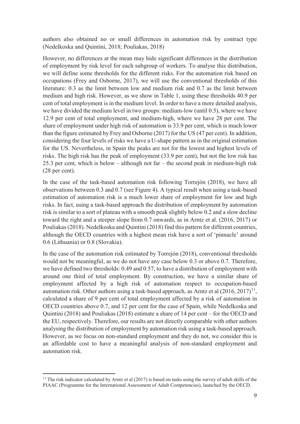authors also obtained no or small differences in automation risk by contract type (Nedelkoska and Quintini, 2018; Pouliakas, 2018)

However, no differences at the mean may hide significant differences in the distribution of employment by risk level for each subgroup of workers. To analyse this distribution, we will define some thresholds for the different risks. For the automation risk based on occupations (Frey and Osborne, 2017), we will use the conventional thresholds of this literature: 0.3 as the limit between low and medium risk and 0.7 as the limit between medium and high risk. However, as we show in Table 1, using these thresholds 40.9 per cent of total employment is in the medium level. In order to have a more detailed analysis, we have divided the medium level in two groups: medium-low (until 0.5), where we have 12.9 per cent of total employment, and medium-high, where we have 28 per cent. The share of employment under high risk of automation is 33.9 per cent, which is much lower than the figure estimated by Frey and Osborne (2017) for the US (47 per cent). In addition, considering the four levels of risks we have a U-shape pattern as in the original estimation for the US. Nevertheless, in Spain the peaks are not for the lowest and highest levels of risks. The high risk has the peak of employment (33.9 per cent), but not the low risk has 25.3 per cent, which is below – although not far – the second peak in medium-high risk (28 per cent).

In the case of the task-based automation risk following Torrejón (2018), we have all observations between 0.3 and 0.7 (see Figure 4). A typical result when using a task-based estimation of automation risk is a much lower share of employment for low and high risks. In fact, using a task-based approach the distribution of employment by automation risk is similar to a sort of plateau with a smooth peak slightly below 0.2 and a slow decline toward the right and a steeper slope from 0.7 onwards, as in Arntz et al. (2016, 2017) or Pouliakas (2018). Nedelkoska and Quintini (2018) find this pattern for different countries, although the OECD countries with a highest mean risk have a sort of 'pinnacle' around 0.6 (Lithuania) or 0.8 (Slovakia).

In the case of the automation risk estimated by Torrejón (2018), conventional thresholds would not be meaningful, as we do not have any case below 0.3 or above 0.7. Therefore, we have defined two thresholds: 0.49 and 0.57, to have a distribution of employment with around one third of total employment. By construction, we have a similar share of employment affected by a high risk of automation respect to occupation-based automation risk. Other authors using a task-based approach, as Arntz et al  $(2016, 2017)^{11}$ , calculated a share of 9 per cent of total employment affected by a risk of automation in OECD countries above 0.7, and 12 per cent for the case of Spain, while Nedelkoska and Quintini (2018) and Pouliakas (2018) estimate a share of 14 per cent – for the OECD and the EU, respectively. Therefore, our results are not directly comparable with other authors analysing the distribution of employment by automation risk using a task-based approach. However, as we focus on non-standard employment and they do not, we consider this is an affordable cost to have a meaningful analysis of non-standard employment and automation risk.

<sup>-</sup><sup>11</sup> The risk indicator calculated by Arntz et al (2017) is based on tasks using the survey of adult skills of the PIAAC (Programme for the International Assessment of Adult Competencies), launched by the OECD.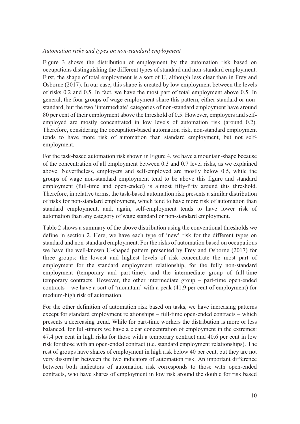#### *Automation risks and types on non-standard employment*

Figure 3 shows the distribution of employment by the automation risk based on occupations distinguishing the different types of standard and non-standard employment. First, the shape of total employment is a sort of U, although less clear than in Frey and Osborne (2017). In our case, this shape is created by low employment between the levels of risks 0.2 and 0.5. In fact, we have the most part of total employment above 0.5. In general, the four groups of wage employment share this pattern, either standard or nonstandard, but the two 'intermediate' categories of non-standard employment have around 80 per cent of their employment above the threshold of 0.5. However, employers and selfemployed are mostly concentrated in low levels of automation risk (around 0.2). Therefore, considering the occupation-based automation risk, non-standard employment tends to have more risk of automation than standard employment, but not selfemployment.

For the task-based automation risk shown in Figure 4, we have a mountain-shape because of the concentration of all employment between 0.3 and 0.7 level risks, as we explained above. Nevertheless, employers and self-employed are mostly below 0.5, while the groups of wage non-standard employment tend to be above this figure and standard employment (full-time and open-ended) is almost fifty-fifty around this threshold. Therefore, in relative terms, the task-based automation risk presents a similar distribution of risks for non-standard employment, which tend to have more risk of automation than standard employment, and, again, self-employment tends to have lower risk of automation than any category of wage standard or non-standard employment.

Table 2 shows a summary of the above distribution using the conventional thresholds we define in section 2. Here, we have each type of 'new' risk for the different types on standard and non-standard employment. For the risks of automation based on occupations we have the well-known U-shaped pattern presented by Frey and Osborne (2017) for three groups: the lowest and highest levels of risk concentrate the most part of employment for the standard employment relationship, for the fully non-standard employment (temporary and part-time), and the intermediate group of full-time temporary contracts. However, the other intermediate group – part-time open-ended contracts – we have a sort of 'mountain' with a peak (41.9 per cent of employment) for medium-high risk of automation.

For the other definition of automation risk based on tasks, we have increasing patterns except for standard employment relationships – full-time open-ended contracts – which presents a decreasing trend. While for part-time workers the distribution is more or less balanced, for full-timers we have a clear concentration of employment in the extremes: 47.4 per cent in high risks for those with a temporary contract and 40.6 per cent in low risk for those with an open-ended contract (i.e. standard employment relationships). The rest of groups have shares of employment in high risk below 40 per cent, but they are not very dissimilar between the two indicators of automation risk. An important difference between both indicators of automation risk corresponds to those with open-ended contracts, who have shares of employment in low risk around the double for risk based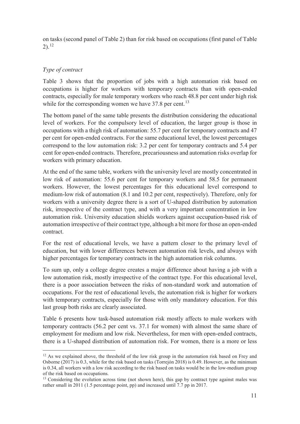on tasks (second panel of Table 2) than for risk based on occupations (first panel of Table 2).<sup>12</sup>

#### *Type of contract*

Table 3 shows that the proportion of jobs with a high automation risk based on occupations is higher for workers with temporary contracts than with open-ended contracts, especially for male temporary workers who reach 48.8 per cent under high risk while for the corresponding women we have  $37.8$  per cent.<sup>13</sup>

The bottom panel of the same table presents the distribution considering the educational level of workers. For the compulsory level of education, the larger group is those in occupations with a thigh risk of automation: 55.7 per cent for temporary contracts and 47 per cent for open-ended contracts. For the same educational level, the lowest percentages correspond to the low automation risk: 3.2 per cent for temporary contracts and 5.4 per cent for open-ended contracts. Therefore, precariousness and automation risks overlap for workers with primary education.

At the end of the same table, workers with the university level are mostly concentrated in low risk of automation: 55.6 per cent for temporary workers and 58.5 for permanent workers. However, the lowest percentages for this educational level correspond to medium-low risk of automation (8.1 and 10.2 per cent, respectively). Therefore, only for workers with a university degree there is a sort of U-shaped distribution by automation risk, irrespective of the contract type, and with a very important concentration in low automation risk. University education shields workers against occupation-based risk of automation irrespective of their contract type, although a bit more for those an open-ended contract.

For the rest of educational levels, we have a pattern closer to the primary level of education, but with lower differences between automation risk levels, and always with higher percentages for temporary contracts in the high automation risk columns.

To sum up, only a college degree creates a major difference about having a job with a low automation risk, mostly irrespective of the contract type. For this educational level, there is a poor association between the risks of non-standard work and automation of occupations. For the rest of educational levels, the automation risk is higher for workers with temporary contracts, especially for those with only mandatory education. For this last group both risks are clearly associated.

Table 6 presents how task-based automation risk mostly affects to male workers with temporary contracts (56.2 per cent vs. 37.1 for women) with almost the same share of employment for medium and low risk. Nevertheless, for men with open-ended contracts, there is a U-shaped distribution of automation risk. For women, there is a more or less

 $\overline{a}$ <sup>12</sup> As we explained above, the threshold of the low risk group in the automation risk based on Frey and Osborne (2017) is 0.3, while for the risk based on tasks (Torrejón 2018) is 0.49. However, as the minimum is 0.34, all workers with a low risk according to the risk based on tasks would be in the low-medium group of the risk based on occupations.

<sup>&</sup>lt;sup>13</sup> Considering the evolution across time (not shown here), this gap by contract type against males was rather small in 2011 (1.5 percentage point, pp) and increased until 7.7 pp in 2017.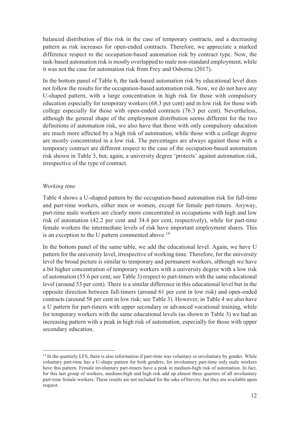balanced distribution of this risk in the case of temporary contracts, and a decreasing pattern as risk increases for open-ended contracts. Therefore, we appreciate a marked difference respect to the occupation-based automation risk by contract type. Now, the task-based automation risk is mostly overlapped to male non-standard employment, while it was not the case for automation risk from Frey and Osborne (2017).

In the bottom panel of Table 6, the task-based automation risk by educational level does not follow the results for the occupation-based automation risk. Now, we do not have any U-shaped pattern, with a large concentration in high risk for those with compulsory education especially for temporary workers (68.3 per cent) and in low risk for those with college especially for those with open-ended contracts (76.3 per cent). Nevertheless, although the general shape of the employment distribution seems different for the two definitions of automation risk, we also have that those with only compulsory education are much more affected by a high risk of automation, while those with a college degree are mostly concentrated in a low risk. The percentages are always against those with a temporary contract are different respect to the case of the occupation-based automation risk shown in Table 3, but, again, a university degree 'protects' against automation risk, irrespective of the type of contract.

#### *Working time*

Table 4 shows a U-shaped pattern by the occupation-based automation risk for full-time and part-time workers, either men or women, except for female part-timers. Anyway, part-time male workers are clearly more concentrated in occupations with high and low risk of automation (42.2 per cent and 34.4 per cent, respectively), while for part-time female workers the intermediate levels of risk have important employment shares. This is an exception to the U pattern commented above.<sup>14</sup>

In the bottom panel of the same table, we add the educational level. Again, we have U pattern for the university level, irrespective of working time. Therefore, for the university level the broad picture is similar to temporary and permanent workers, although we have a bit higher concentration of temporary workers with a university degree with a low risk of automation (55.6 per cent; see Table 3) respect to part-timers with the same educational level (around 53 per cent). There is a similar difference in this educational level but in the opposite direction between full-timers (around 61 per cent in low risk) and open-ended contracts (around 58 per cent in low risk; see Table 3). However, in Table 4 we also have a U pattern for part-timers with upper secondary or advanced vocational training, while for temporary workers with the same educational levels (as shown in Table 3) we had an increasing pattern with a peak in high risk of automation, especially for those with upper secondary education.

 $\overline{a}$ <sup>14</sup> In the quarterly LFS, there is also information if part-time was voluntary or involuntary by gender. While voluntary part-time has a U-shape pattern for both genders, for involuntary part-time only male workers have this pattern. Female involuntary part-timers have a peak in medium-high risk of automation. In fact, for this last group of workers, medium-high and high risk add up almost three quarters of all involuntary part-time female workers. These results are not included for the sake of brevity, but they are available upon request.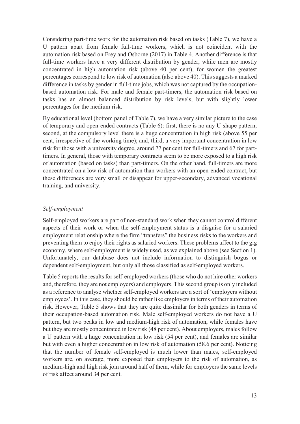Considering part-time work for the automation risk based on tasks (Table 7), we have a U pattern apart from female full-time workers, which is not coincident with the automation risk based on Frey and Osborne (2017) in Table 4. Another difference is that full-time workers have a very different distribution by gender, while men are mostly concentrated in high automation risk (above 40 per cent), for women the greatest percentages correspond to low risk of automation (also above 40). This suggests a marked difference in tasks by gender in full-time jobs, which was not captured by the occupationbased automation risk. For male and female part-timers, the automation risk based on tasks has an almost balanced distribution by risk levels, but with slightly lower percentages for the medium risk.

By educational level (bottom panel of Table 7), we have a very similar picture to the case of temporary and open-ended contracts (Table 6): first, there is no any U-shape pattern; second, at the compulsory level there is a huge concentration in high risk (above 55 per cent, irrespective of the working time); and, third, a very important concentration in low risk for those with a university degree, around 77 per cent for full-timers and 67 for parttimers. In general, those with temporary contracts seem to be more exposed to a high risk of automation (based on tasks) than part-timers. On the other hand, full-timers are more concentrated on a low risk of automation than workers with an open-ended contract, but these differences are very small or disappear for upper-secondary, advanced vocational training, and university.

#### *Self-employment*

Self-employed workers are part of non-standard work when they cannot control different aspects of their work or when the self-employment status is a disguise for a salaried employment relationship where the firm "transfers" the business risks to the workers and preventing them to enjoy their rights as salaried workers. These problems affect to the gig economy, where self-employment is widely used, as we explained above (see Section 1). Unfortunately, our database does not include information to distinguish bogus or dependent self-employment, but only all those classified as self-employed workers.

Table 5 reports the results for self-employed workers (those who do not hire other workers and, therefore, they are not employers) and employers. This second group is only included as a reference to analyse whether self-employed workers are a sort of 'employers without employees'. In this case, they should be rather like employers in terms of their automation risk. However, Table 5 shows that they are quite dissimilar for both genders in terms of their occupation-based automation risk. Male self-employed workers do not have a U pattern, but two peaks in low and medium-high risk of automation, while females have but they are mostly concentrated in low risk (48 per cent). About employers, males follow a U pattern with a huge concentration in low risk (54 per cent), and females are similar but with even a higher concentration in low risk of automation (58.6 per cent). Noticing that the number of female self-employed is much lower than males, self-employed workers are, on average, more exposed than employers to the risk of automation, as medium-high and high risk join around half of them, while for employers the same levels of risk affect around 34 per cent.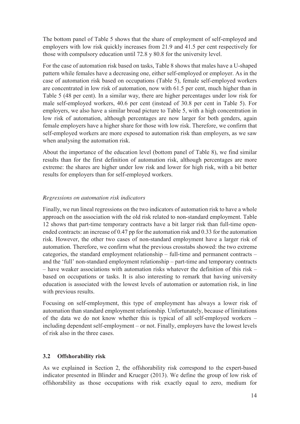The bottom panel of Table 5 shows that the share of employment of self-employed and employers with low risk quickly increases from 21.9 and 41.5 per cent respectively for those with compulsory education until 72.8 y 80.8 for the university level.

For the case of automation risk based on tasks, Table 8 shows that males have a U-shaped pattern while females have a decreasing one, either self-employed or employer. As in the case of automation risk based on occupations (Table 5), female self-employed workers are concentrated in low risk of automation, now with 61.5 per cent, much higher than in Table 5 (48 per cent). In a similar way, there are higher percentages under low risk for male self-employed workers, 40.6 per cent (instead of 30.8 per cent in Table 5). For employers, we also have a similar broad picture to Table 5, with a high concentration in low risk of automation, although percentages are now larger for both genders, again female employers have a higher share for those with low risk. Therefore, we confirm that self-employed workers are more exposed to automation risk than employers, as we saw when analysing the automation risk.

About the importance of the education level (bottom panel of Table 8), we find similar results than for the first definition of automation risk, although percentages are more extreme: the shares are higher under low risk and lower for high risk, with a bit better results for employers than for self-employed workers.

#### *Regressions on automation risk indicators*

Finally, we run lineal regressions on the two indicators of automation risk to have a whole approach on the association with the old risk related to non-standard employment. Table 12 shows that part-time temporary contracts have a bit larger risk than full-time openended contracts: an increase of 0.47 pp for the automation risk and 0.33 for the automation risk. However, the other two cases of non-standard employment have a larger risk of automation. Therefore, we confirm what the previous crosstabs showed: the two extreme categories, the standard employment relationship – full-time and permanent contracts – and the 'full' non-standard employment relationship – part-time and temporary contracts – have weaker associations with automation risks whatever the definition of this risk – based on occupations or tasks. It is also interesting to remark that having university education is associated with the lowest levels of automation or automation risk, in line with previous results.

Focusing on self-employment, this type of employment has always a lower risk of automation than standard employment relationship. Unfortunately, because of limitations of the data we do not know whether this is typical of all self-employed workers – including dependent self-employment – or not. Finally, employers have the lowest levels of risk also in the three cases.

#### **3.2 Offshorability risk**

As we explained in Section 2, the offshorability risk correspond to the expert-based indicator presented in Blinder and Krueger (2013). We define the group of low risk of offshorability as those occupations with risk exactly equal to zero, medium for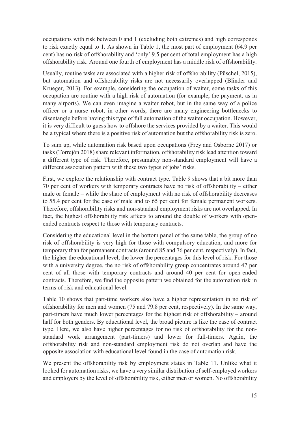occupations with risk between 0 and 1 (excluding both extremes) and high corresponds to risk exactly equal to 1. As shown in Table 1, the most part of employment (64.9 per cent) has no risk of offshorability and 'only' 9.5 per cent of total employment has a high offshorability risk. Around one fourth of employment has a middle risk of offshorability.

Usually, routine tasks are associated with a higher risk of offshorability (Püschel, 2015), but automation and offshorability risks are not necessarily overlapped (Blinder and Krueger, 2013). For example, considering the occupation of waiter, some tasks of this occupation are routine with a high risk of automation (for example, the payment, as in many airports). We can even imagine a waiter robot, but in the same way of a police officer or a nurse robot, in other words, there are many engineering bottlenecks to disentangle before having this type of full automation of the waiter occupation. However, it is very difficult to guess how to offshore the services provided by a waiter. This would be a typical where there is a positive risk of automation but the offshorability risk is zero.

To sum up, while automation risk based upon occupations (Frey and Osborne 2017) or tasks (Torrejón 2018) share relevant information, offshorability risk lead attention toward a different type of risk. Therefore, presumably non-standard employment will have a different association pattern with these two types of jobs' risks.

First, we explore the relationship with contract type. Table 9 shows that a bit more than 70 per cent of workers with temporary contracts have no risk of offshorability – either male or female – while the share of employment with no risk of offshorability decreases to 55.4 per cent for the case of male and to 65 per cent for female permanent workers. Therefore, offshorability risks and non-standard employment risks are not overlapped. In fact, the highest offshorability risk affects to around the double of workers with openended contracts respect to those with temporary contracts.

Considering the educational level in the bottom panel of the same table, the group of no risk of offshorability is very high for those with compulsory education, and more for temporary than for permanent contracts (around 85 and 76 per cent, respectively). In fact, the higher the educational level, the lower the percentages for this level of risk. For those with a university degree, the no risk of offshorability group concentrates around 47 per cent of all those with temporary contracts and around 40 per cent for open-ended contracts. Therefore, we find the opposite pattern we obtained for the automation risk in terms of risk and educational level.

Table 10 shows that part-time workers also have a higher representation in no risk of offshorability for men and women (75 and 79.8 per cent, respectively). In the same way, part-timers have much lower percentages for the highest risk of offshorability – around half for both genders. By educational level, the broad picture is like the case of contract type. Here, we also have higher percentages for no risk of offshorability for the nonstandard work arrangement (part-timers) and lower for full-timers. Again, the offshorability risk and non-standard employment risk do not overlap and have the opposite association with educational level found in the case of automation risk.

We present the offshorability risk by employment status in Table 11. Unlike what it looked for automation risks, we have a very similar distribution of self-employed workers and employers by the level of offshorability risk, either men or women. No offshorability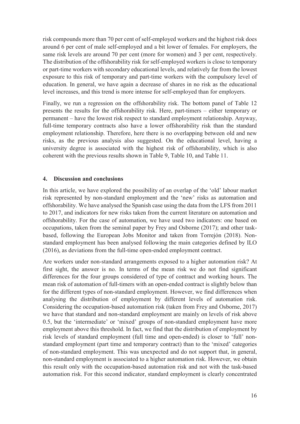risk compounds more than 70 per cent of self-employed workers and the highest risk does around 6 per cent of male self-employed and a bit lower of females. For employers, the same risk levels are around 70 per cent (more for women) and 3 per cent, respectively. The distribution of the offshorability risk for self-employed workers is close to temporary or part-time workers with secondary educational levels, and relatively far from the lowest exposure to this risk of temporary and part-time workers with the compulsory level of education. In general, we have again a decrease of shares in no risk as the educational level increases, and this trend is more intense for self-employed than for employers.

Finally, we run a regression on the offshorability risk. The bottom panel of Table 12 presents the results for the offshorability risk. Here, part-timers – either temporary or permanent – have the lowest risk respect to standard employment relationship. Anyway, full-time temporary contracts also have a lower offshorability risk than the standard employment relationship. Therefore, here there is no overlapping between old and new risks, as the previous analysis also suggested. On the educational level, having a university degree is associated with the highest risk of offshorability, which is also coherent with the previous results shown in Table 9, Table 10, and Table 11.

#### **4. Discussion and conclusions**

In this article, we have explored the possibility of an overlap of the 'old' labour market risk represented by non-standard employment and the 'new' risks as automation and offshorability. We have analysed the Spanish case using the data from the LFS from 2011 to 2017, and indicators for new risks taken from the current literature on automation and offshorability. For the case of automation, we have used two indicators: one based on occupations, taken from the seminal paper by Frey and Osborne (2017); and other taskbased, following the European Jobs Monitor and taken from Torrejón (2018). Nonstandard employment has been analysed following the main categories defined by ILO (2016), as deviations from the full-time open-ended employment contract.

Are workers under non-standard arrangements exposed to a higher automation risk? At first sight, the answer is no. In terms of the mean risk we do not find significant differences for the four groups considered of type of contract and working hours. The mean risk of automation of full-timers with an open-ended contract is slightly below than for the different types of non-standard employment. However, we find differences when analysing the distribution of employment by different levels of automation risk. Considering the occupation-based automation risk (taken from Frey and Osborne, 2017) we have that standard and non-standard employment are mainly on levels of risk above 0.5, but the 'intermediate' or 'mixed' groups of non-standard employment have more employment above this threshold. In fact, we find that the distribution of employment by risk levels of standard employment (full time and open-ended) is closer to 'full' nonstandard employment (part time and temporary contract) than to the 'mixed' categories of non-standard employment. This was unexpected and do not support that, in general, non-standard employment is associated to a higher automation risk. However, we obtain this result only with the occupation-based automation risk and not with the task-based automation risk. For this second indicator, standard employment is clearly concentrated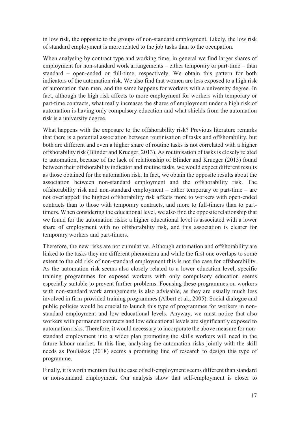in low risk, the opposite to the groups of non-standard employment. Likely, the low risk of standard employment is more related to the job tasks than to the occupation.

When analysing by contract type and working time, in general we find larger shares of employment for non-standard work arrangements – either temporary or part-time – than standard – open-ended or full-time, respectively. We obtain this pattern for both indicators of the automation risk. We also find that women are less exposed to a high risk of automation than men, and the same happens for workers with a university degree. In fact, although the high risk affects to more employment for workers with temporary or part-time contracts, what really increases the shares of employment under a high risk of automation is having only compulsory education and what shields from the automation risk is a university degree.

What happens with the exposure to the offshorability risk? Previous literature remarks that there is a potential association between routinisation of tasks and offshorability, but both are different and even a higher share of routine tasks is not correlated with a higher offshorability risk (Blinder and Krueger, 2013). As routinisation of tasks is closely related to automation, because of the lack of relationship of Blinder and Krueger (2013) found between their offshorability indicator and routine tasks, we would expect different results as those obtained for the automation risk. In fact, we obtain the opposite results about the association between non-standard employment and the offshorability risk. The offshorability risk and non-standard employment – either temporary or part-time – are not overlapped: the highest offshorability risk affects more to workers with open-ended contracts than to those with temporary contracts, and more to full-timers than to parttimers. When considering the educational level, we also find the opposite relationship that we found for the automation risks: a higher educational level is associated with a lower share of employment with no offshorability risk, and this association is clearer for temporary workers and part-timers.

Therefore, the new risks are not cumulative. Although automation and offshorability are linked to the tasks they are different phenomena and while the first one overlaps to some extent to the old risk of non-standard employment this is not the case for offshorability. As the automation risk seems also closely related to a lower education level, specific training programmes for exposed workers with only compulsory education seems especially suitable to prevent further problems. Focusing these programmes on workers with non-standard work arrangements is also advisable, as they are usually much less involved in firm-provided training programmes (Albert et al., 2005). Social dialogue and public policies would be crucial to launch this type of programmes for workers in nonstandard employment and low educational levels. Anyway, we must notice that also workers with permanent contracts and low educational levels are significantly exposed to automation risks. Therefore, it would necessary to incorporate the above measure for nonstandard employment into a wider plan promoting the skills workers will need in the future labour market. In this line, analysing the automation risks jointly with the skill needs as Pouliakas (2018) seems a promising line of research to design this type of programme.

Finally, it is worth mention that the case of self-employment seems different than standard or non-standard employment. Our analysis show that self-employment is closer to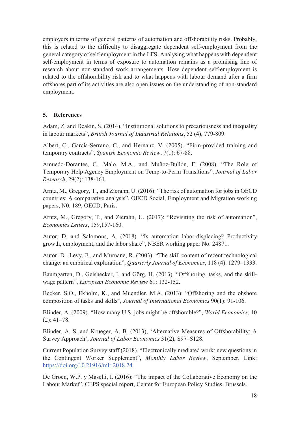employers in terms of general patterns of automation and offshorability risks. Probably, this is related to the difficulty to disaggregate dependent self-employment from the general category of self-employment in the LFS. Analysing what happens with dependent self-employment in terms of exposure to automation remains as a promising line of research about non-standard work arrangements. How dependent self-employment is related to the offshorability risk and to what happens with labour demand after a firm offshores part of its activities are also open issues on the understanding of non-standard employment.

#### **5. References**

Adam, Z. and Deakin, S. (2014). "Institutional solutions to precariousness and inequality in labour markets", *British Journal of Industrial Relations*, 52 (4), 779-809.

Albert, C., García-Serrano, C., and Hernanz, V. (2005). "Firm-provided training and temporary contracts", *Spanish Economic Review*, 7(1): 67-88.

Amuedo-Dorantes, C., Malo, M.A., and Muñoz-Bullón, F. (2008). "The Role of Temporary Help Agency Employment on Temp-to-Perm Transitions", *Journal of Labor Research*, 29(2): 138-161.

Arntz, M., Gregory, T., and Zierahn, U. (2016): "The risk of automation for jobs in OECD countries: A comparative analysis", OECD Social, Employment and Migration working papers, N0. 189, OECD, Paris.

Arntz, M., Gregory, T., and Zierahn, U. (2017): "Revisiting the risk of automation", *Economics Letters*, 159,157-160.

Autor, D. and Salomons, A. (2018). "Is automation labor-displacing? Productivity growth, employment, and the labor share", NBER working paper No. 24871.

Autor, D., Levy, F., and Murnane, R. (2003). "The skill content of recent technological change: an empirical exploration", *Quarterly Journal of Economics*, 118 (4): 1279–1333.

Baumgarten, D., Geishecker, I. and Görg, H. (2013). "Offshoring, tasks, and the skillwage pattern", *European Economic Review* 61: 132-152.

Becker, S.O., Ekholm, K., and Muendler, M.A. (2013): "Offshoring and the ohshore composition of tasks and skills", *Journal of International Economics* 90(1): 91-106.

Blinder, A. (2009). "How many U.S. jobs might be offshorable?", *World Economics*, 10  $(2): 41-78.$ 

Blinder, A. S. and Krueger, A. B. (2013), 'Alternative Measures of Offshorability: A Survey Approach', *Journal of Labor Economics* 31(2), S97–S128.

Current Population Survey staff (2018). "Electronically mediated work: new questions in the Contingent Worker Supplement", *Monthly Labor Review*, September. Link: https://doi.org/10.21916/mlr.2018.24.

De Groen, W.P. y Maselli, I. (2016): "The impact of the Collaborative Economy on the Labour Market", CEPS special report, Center for European Policy Studies, Brussels.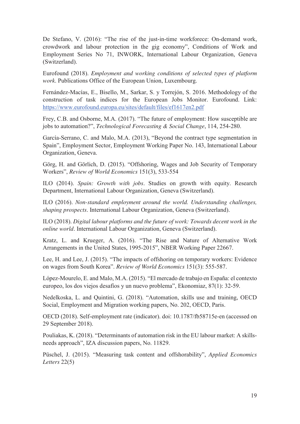De Stefano, V. (2016): "The rise of the just-in-time workforece: On-demand work, crowdwork and labour protection in the gig economy", Conditions of Work and Employment Series No 71, INWORK, International Labour Organization, Geneva (Switzerland).

Eurofound (2018). *Employment and working conditions of selected types of platform work*. Publications Office of the European Union, Luxembourg.

Fernández-Macías, E., Bisello, M., Sarkar, S. y Torrejón, S. 2016. Methodology of the construction of task indices for the European Jobs Monitor. Eurofound. Link: https://www.eurofound.europa.eu/sites/default/files/ef1617en2.pdf

Frey, C.B. and Osborne, M.A. (2017). "The future of employment: How susceptible are jobs to automation?", *Technological Forecasting & Social Change*, 114, 254-280.

García-Serrano, C. and Malo, M.A. (2013), "Beyond the contract type segmentation in Spain", Employment Sector, Employment Working Paper No. 143, International Labour Organization, Geneva.

Görg, H. and Görlich, D. (2015). "Offshoring, Wages and Job Security of Temporary Workers", *Review of World Economics* 151(3), 533-554

ILO (2014). *Spain: Growth with jobs*. Studies on growth with equity. Research Department, International Labour Organization, Geneva (Switzerland).

ILO (2016). *Non-standard employment around the world. Understanding challenges, shaping prospects*. International Labour Organization, Geneva (Switzerland).

ILO (2018). *Digital labour platforms and the future of work: Towards decent work in the online world*. International Labour Organization, Geneva (Switzerland).

Kratz, L. and Krueger, A. (2016). "The Rise and Nature of Alternative Work Arrangements in the United States, 1995-2015", NBER Working Paper 22667.

Lee, H. and Lee, J. (2015). "The impacts of offshoring on temporary workers: Evidence on wages from South Korea". *Review of World Economics* 151(3): 555-587.

López-Mourelo, E. and Malo, M.A. (2015). "El mercado de trabajo en España: el contexto europeo, los dos viejos desafíos y un nuevo problema", Ekonomiaz, 87(1): 32-59.

Nedelkoska, L. and Quintini, G. (2018). "Automation, skills use and training, OECD Social, Employment and Migration working papers, No. 202, OECD, Paris.

OECD (2018). Self-employment rate (indicator). doi: 10.1787/fb58715e-en (accessed on 29 September 2018).

Pouliakas, K. (2018). "Determinants of automation risk in the EU labour market: A skillsneeds approach", IZA discussion papers, No. 11829.

Püschel, J. (2015). "Measuring task content and offshorability", *Applied Economics Letters* 22(5)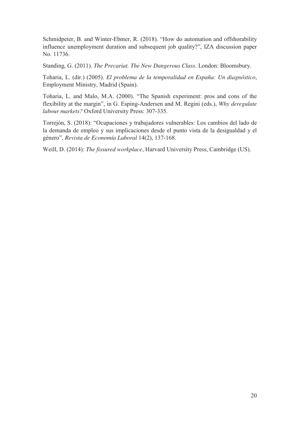Schmidpeter, B. and Winter-Ebmer, R. (2018). "How do automation and offshorability influence unemployment duration and subsequent job quality?", IZA discussion paper No. 11736.

Standing, G. (2011). *The Precariat. The New Dangerous Class*. London: Bloomsbury.

Toharia, L. (dir.) (2005). *El problema de la temporalidad en España: Un diagnóstico*, Employment Ministry, Madrid (Spain).

Toharia, L. and Malo, M.A. (2000). "The Spanish experiment: pros and cons of the flexibility at the margin", in G. Esping-Andersen and M. Regini (eds.), *Why deregulate labour markets?* Oxford University Press: 307-335.

Torrejón, S. (2018): "Ocupaciones y trabajadores vulnerables: Los cambios del lado de la demanda de empleo y sus implicaciones desde el punto vista de la desigualdad y el género", *Revista de Economía Laboral* 14(2), 137-168.

Weill, D. (2014): *The fissured workplace*, Harvard University Press, Cambridge (US).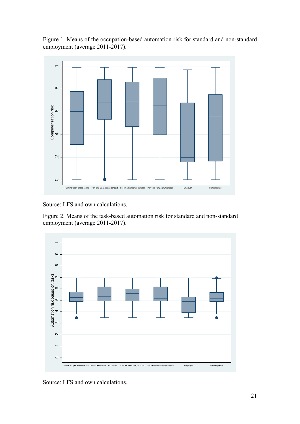Figure 1. Means of the occupation-based automation risk for standard and non-standard employment (average 2011-2017).



Source: LFS and own calculations.

Figure 2. Means of the task-based automation risk for standard and non-standard employment (average 2011-2017).



Source: LFS and own calculations.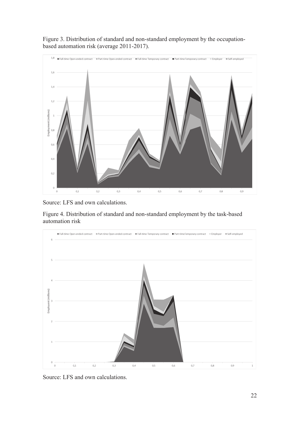



Source: LFS and own calculations.

Figure 4. Distribution of standard and non-standard employment by the task-based automation risk



Source: LFS and own calculations.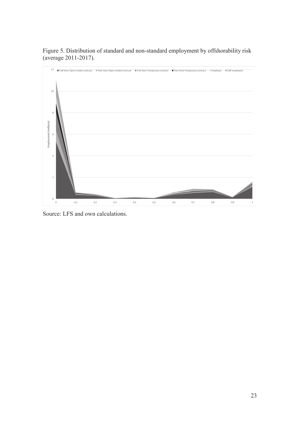



Source: LFS and own calculations.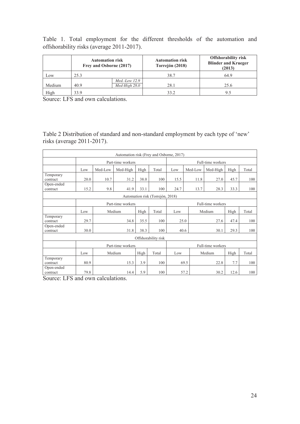Table 1. Total employment for the different thresholds of the automation and offshorability risks (average 2011-2017).

|        | <b>Automation risk</b><br>Frey and Osborne (2017) |                                  | <b>Automation risk</b><br>Torrejón (2018) | <b>Offshorability risk</b><br><b>Blinder and Krueger</b><br>(2013) |
|--------|---------------------------------------------------|----------------------------------|-------------------------------------------|--------------------------------------------------------------------|
| Low    | 25.3                                              |                                  | 38.7                                      | 64.9                                                               |
| Medium | 40.9                                              | $Med.-Low 12.9$<br>Med-High 28.0 | 28.1                                      | 25.6                                                               |
| High   | 33.9                                              |                                  | 33.2                                      | 95                                                                 |

Source: LFS and own calculations.

Table 2 Distribution of standard and non-standard employment by each type of 'new' risks (average 2011-2017).

|                        |      |                         | Automation risk (Frey and Osborne, 2017) |      |                                  |                   |         |                   |       |       |  |
|------------------------|------|-------------------------|------------------------------------------|------|----------------------------------|-------------------|---------|-------------------|-------|-------|--|
|                        |      |                         | Part-time workers                        |      |                                  |                   |         | Full-time workers |       |       |  |
|                        | Low  | Med-Low                 | Med-High                                 | High | Total                            | Low               | Med-Low | Med-High          | High  | Total |  |
| Temporary<br>contract  | 20.0 | 10.7                    | 31.2                                     | 38.0 | 100                              | 15.5              | 11.8    | 27.0              | 45.7  | 100   |  |
| Open-ended<br>contract | 15.2 | 9.8                     | 41.9                                     | 33.1 | 100                              | 24.7              | 13.7    | 28.3              | 33.3  | 100   |  |
|                        |      |                         |                                          |      | Automation risk (Torrejón, 2018) |                   |         |                   |       |       |  |
|                        |      | Part-time workers       |                                          |      |                                  | Full-time workers |         |                   |       |       |  |
|                        | Low  | Medium<br>Total<br>High |                                          |      | Low                              |                   | Medium  | High              | Total |       |  |
| Temporary<br>contract  | 29.7 |                         | 34.8                                     | 35.5 | 100                              |                   | 25.0    | 27.6              | 47.4  | 100   |  |
| Open-ended<br>contract | 30.0 |                         | 31.8                                     | 38.3 | 100                              |                   | 40.6    | 30.1              | 29.3  | 100   |  |
|                        |      |                         |                                          |      | Offshorability risk              |                   |         |                   |       |       |  |
|                        |      |                         | Part-time workers                        |      |                                  |                   |         | Full-time workers |       |       |  |
|                        | Low  |                         | Medium                                   | High | Total                            | Low               |         | Medium            | High  | Total |  |
| Temporary<br>contract  | 80.9 |                         | 15.3                                     | 3.9  | 100                              |                   | 69.5    | 22.8              | 7.7   | 100   |  |
| Open-ended<br>contract | 79.8 |                         | 14.4                                     | 5.9  | 100                              |                   | 57.2    | 30.2              | 12.6  | 100   |  |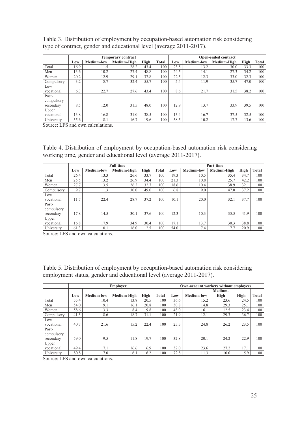|            |      |                   | <b>Temporary contract</b> |             |              |      |                   | Open-ended contract |      |       |
|------------|------|-------------------|---------------------------|-------------|--------------|------|-------------------|---------------------|------|-------|
|            | Low  | <b>Medium-low</b> | Medium-High               | <b>High</b> | <b>Total</b> | Low  | <b>Medium-low</b> | Medium-High         | High | Total |
| Total      | 16.9 | 11.5              | 28.2                      | 43.4        | 100          | 23.5 | 13.2              | 30.0                | 33.3 | 100   |
| Men        | 13.6 | 10.2              | 27.4                      | 48.8        | 100          | 24.5 | 14.1              | 27.3                | 34.2 | 100   |
| Women      | 20.2 | 12.9              | 29.1                      | 37.8        | 100          | 22.5 | 12.3              | 33.0                | 32.3 | 100   |
| Compulsory | 3.2  | 8.7               | 32.4                      | 55.7        | 100          | 5.4  | 11.9              | 35.7                | 47.0 | 100   |
| Low        |      |                   |                           |             |              |      |                   |                     |      |       |
| vocational | 6.3  | 22.7              | 27.6                      | 43.4        | 100          | 8.6  | 21.7              | 31.5                | 38.2 | 100   |
| Post-      |      |                   |                           |             |              |      |                   |                     |      |       |
| compulsory |      |                   |                           |             |              |      |                   |                     |      |       |
| secondary  | 8.5  | 12.0              | 31.5                      | 48.0        | 100          | 12.9 | 13.7              | 33.9                | 39.5 | 100   |
| Upper      |      |                   |                           |             |              |      |                   |                     |      |       |
| vocational | 13.8 | 16.8              | 31.0                      | 38.5        | 100          | 13.4 | 16.7              | 37.5                | 32.5 | 100   |
| University | 55.6 | 8.1               | 16.7                      | 19.6        | 100          | 58.5 | 10.2              | 17.7                | 13.6 | 100   |

Table 3. Distribution of employment by occupation-based automation risk considering type of contract, gender and educational level (average 2011-2017).

Source: LFS and own calculations.

Table 4. Distribution of employment by occupation-based automation risk considering working time, gender and educational level (average 2011-2017).

|                                  |      |                   | <b>Full-time</b> |             |       |      |                   | Part-time   |      |       |
|----------------------------------|------|-------------------|------------------|-------------|-------|------|-------------------|-------------|------|-------|
|                                  | Low  | <b>Medium-low</b> | Medium-High      | <b>High</b> | Total | Low  | <b>Medium-low</b> | Medium-High | High | Total |
| Total                            | 26.4 | 13.3              | 26.6             | 33.7        | 100   | 19.3 | 10.5              | 35.4        | 34.7 | 100   |
| Men                              | 25.5 | 13.2              | 26.9             | 34.4        | 100   | 21.3 | 10.8              | 25.7        | 42.2 | 100   |
| Women                            | 27.7 | 13.5              | 26.2             | 32.7        | 100   | 18.6 | 10.4              | 38.9        | 32.1 | 100   |
| Compulsory                       | 9.7  | 11.3              | 30.0             | 49.0        | 100   | 6.8  | 9.0               | 47.0        | 37.2 | 100   |
| Low<br>vocational                | 11.7 | 22.4              | 28.7             | 37.2        | 100   | 10.1 | 20.0              | 32.1        | 37.7 | 100   |
| Post-<br>compulsory<br>secondary | 17.8 | 14.5              | 30.1             | 37.6        | 100   | 12.3 | 10.3              | 35.5        | 41.9 | 100   |
| Upper                            |      |                   |                  |             |       |      |                   |             |      |       |
| vocational                       | 16.8 | 17.9              | 34.9             | 30.4        | 100   | 17.1 | 13.7              | 30.3        | 38.8 | 100   |
| University                       | 61.3 | 10.1              | 16.0             | 12.5        | 100   | 54.0 | 7.4               | 17.7        | 20.9 | 100   |

Source: LFS and own calculations.

Table 5. Distribution of employment by occupation-based automation risk considering employment status, gender and educational level (average 2011-2017).

|            |      |                   | <b>Employer</b> |             |       |      | Own-account workers without employees |                 |      |              |
|------------|------|-------------------|-----------------|-------------|-------|------|---------------------------------------|-----------------|------|--------------|
|            | Low  | <b>Medium-low</b> | Medium-High     |             | Total |      | <b>Medium-low</b>                     | Medium-<br>High | High | <b>Total</b> |
|            |      |                   |                 | <b>High</b> |       | Low  |                                       |                 |      |              |
| Total      | 55.4 | 10.4              | 13.8            | 20.5        | 100   | 36.6 | 15.2                                  | 23.6            | 24.5 | 100          |
| Men        | 54.0 | 9.1               | 16.1            | 20.8        | 100   | 30.8 | 14.8                                  | 29.3            | 25.1 | 100          |
| Women      | 58.6 | 13.3              | 8.4             | 19.8        | 100   | 48.0 | 16.1                                  | 12.5            | 23.4 | 100          |
| Compulsory | 41.5 | 8.6               | 18.7            | 31.1        | 100   | 21.9 | 12.1                                  | 29.3            | 36.7 | 100          |
| Low        |      |                   |                 |             |       |      |                                       |                 |      |              |
| vocational | 40.7 | 21.6              | 15.2            | 22.4        | 100   | 25.5 | 24.8                                  | 26.2            | 23.5 | 100          |
| Post-      |      |                   |                 |             |       |      |                                       |                 |      |              |
| compulsory |      |                   |                 |             |       |      |                                       |                 |      |              |
| secondary  | 59.0 | 9.5               | 11.8            | 19.7        | 100   | 32.8 | 20.1                                  | 24.2            | 22.9 | 100          |
| Upper      |      |                   |                 |             |       |      |                                       |                 |      |              |
| vocational | 49.4 | 17.1              | 16.6            | 16.9        | 100   | 32.0 | 23.6                                  | 27.2            | 17.1 | 100          |
| University | 80.8 | 7.0               | 6.1             | 6.2         | 100   | 72.8 | 11.3                                  | 10.0            | 5.9  | 100          |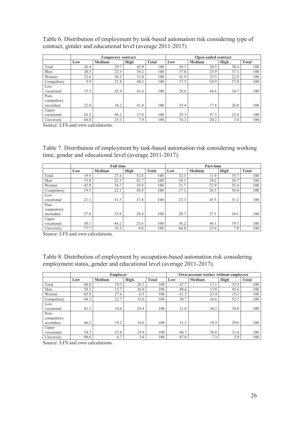|            |      | <b>Temporary contract</b> |      |              |      | Open-ended contract |      |              |
|------------|------|---------------------------|------|--------------|------|---------------------|------|--------------|
|            | Low  | <b>Medium</b>             | High | <b>Total</b> | Low  | <b>Medium</b>       | High | <b>Total</b> |
| Total      | 26.4 | 29.7                      | 43.9 | 100          | 39.3 | 30.3                | 30.4 | 100          |
| Men        | 20.5 | 23.3                      | 56.2 | 100          | 37.0 | 25.9                | 37.1 | 100          |
| Women      | 32.6 | 36.5                      | 31.0 | 100          | 41.9 | 35.3                | 22.9 | 100          |
| Compulsory | 9.9  | 21.8                      | 68.3 | 100          | 17.3 | 24.9                | 57.9 | 100          |
| Low        |      |                           |      |              |      |                     |      |              |
| vocational | 15.5 | 42.9                      | 41.6 | 100          | 20.6 | 44.6                | 34.7 | 100          |
| Post-      |      |                           |      |              |      |                     |      |              |
| compulsory |      |                           |      |              |      |                     |      |              |
| secondary  | 22.0 | 36.2                      | 41.8 | 100          | 35.4 | 37.8                | 26.8 | 100          |
| Upper      |      |                           |      |              |      |                     |      |              |
| vocational | 26.2 | 46.2                      | 27.6 | 100          | 29.3 | 47.3                | 23.4 | 100          |
| University | 66.8 | 25.3                      | 7.9  | 100          | 76.3 | 20.2                | 3.4  | 100          |

Table 6. Distribution of employment by task-based automation risk considering type of contract, gender and educational level (average 2011-2017)

Source: LFS and own calculations.

Table 7. Distribution of employment by task-based automation risk considering working time, gender and educational level (average 2011-2017).

|                                  |      | <b>Full time</b> |      |              |      | Part-time     |      |              |
|----------------------------------|------|------------------|------|--------------|------|---------------|------|--------------|
|                                  | Low  | <b>Medium</b>    | High | <b>Total</b> | Low  | <b>Medium</b> | High | <b>Total</b> |
| Total                            | 39.9 | 27.4             | 32.8 | 100          | 32.3 | 31.9          | 35.7 | 100          |
| Men                              | 35.8 | 22.5             | 41.7 | 100          | 34.1 | 29.2          | 36.7 | 100          |
| Women                            | 45.9 | 34.7             | 19.4 | 100          | 31.7 | 32.9          | 35.4 | 100          |
| Compulsory                       | 19.5 | 22.1             | 58.4 | 100          | 17.1 | 26.5          | 56.4 | 100          |
| Low<br>vocational                | 21.1 | 41.5             | 37.4 | 100          | 23.3 | 45.5          | 31.2 | 100          |
| Post-<br>compulsory<br>secondary | 37.8 | 33.8             | 28.4 | 100          | 28.7 | 37.1          | 34.1 | 100          |
| Upper<br>vocational              | 30.1 | 44.2             | 25.6 | 100          | 36.2 | 44.1          | 19.7 | 100          |
| University                       | 77.7 | 18.3             | 4.0  | 100          | 66.8 | 25.4          | 7.8  | 100          |

Source: LFS and own calculations.

Table 8. Distribution of employment by occupation-based automation risk considering employment status, gender and educational level (average 2011-2017).

|            |      | Emplover      |      |              |      | Own-account worker without employees |      |              |
|------------|------|---------------|------|--------------|------|--------------------------------------|------|--------------|
|            | Low  | <b>Medium</b> | High | <b>Total</b> | Low  | <b>Medium</b>                        | High | <b>Total</b> |
| Total      | 60.6 | 19.3          | 20.1 | 100          | 47.7 | 17.1                                 | 35.3 | 100          |
| Men        | 58.3 | 15.7          | 26.0 | 100          | 40.6 | 13.8                                 | 45.6 | 100          |
| Women      | 65.9 | 27.6          | 6.5  | 100          | 61.5 | 23.4                                 | 15.1 | 100          |
| Compulsory | 44.3 | 22.7          | 33.0 | 100          | 30.7 | 16.6                                 | 52.7 | 100          |
| Low        |      |               |      |              |      |                                      |      |              |
| vocational | 41.5 | 34.0          | 24.4 | 100          | 31.0 | 30.2                                 | 38.8 | 100          |
| Post-      |      |               |      |              |      |                                      |      |              |
| compulsory |      |               |      |              |      |                                      |      |              |
| secondary  | 66.2 | 19.2          | 14.6 | 100          | 51.5 | 18.9                                 | 29.6 | 100          |
| Upper      |      |               |      |              |      |                                      |      |              |
| vocational | 54.3 | 25.8          | 19.9 | 100          | 40.7 | 28.0                                 | 31.4 | 100          |
| University | 90.0 | 6.7           | 3.4  | 100          | 87.0 | 7.3                                  | 5.8  | 100          |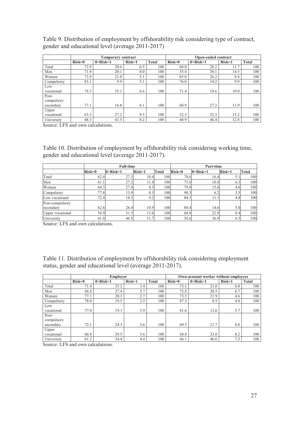|            |          | <b>Temporary contract</b> |          |              |          | <b>Open-ended contract</b> |          |              |
|------------|----------|---------------------------|----------|--------------|----------|----------------------------|----------|--------------|
|            | $Risk=0$ | $0 >$ Risk $>1$           | $Risk=1$ | <b>Total</b> | $Risk=0$ | $0 >$ Risk $>1$            | $Risk=1$ | <b>Total</b> |
| Total      | 72.9     | 20.6                      | 6.5      | 100          | 60.0     | 28.2                       | 11.7     | 100          |
| Men        | 71.9     | 20.1                      | 8.0      | 100          | 55.4     | 30.1                       | 14.5     | 100          |
| Women      | 73.9     | 21.0                      | 5.1      | 100          | 65.0     | 26.2                       | 8.8      | 100          |
| Compulsory | 85.1     | 9.9                       | 5.1      | 100          | 76.0     | 14.2                       | 9.9      | 100          |
| Low        |          |                           |          |              |          |                            |          |              |
| vocational | 78.3     | 15.1                      | 6.6      | 100          | 71.4     | 18.6                       | 10.0     | 100          |
| Post-      |          |                           |          |              |          |                            |          |              |
| compulsory |          |                           |          |              |          |                            |          |              |
| secondary  | 77.1     | 16.8                      | 6.1      | 100          | 60.9     | 27.3                       | 11.9     | 100          |
| Upper      |          |                           |          |              |          |                            |          |              |
| vocational | 63.5     | 27.2                      | 9.3      | 100          | 52.5     | 32.3                       | 15.2     | 100          |
| University | 48.3     | 43.5                      | 8.2      | 100          | 40.9     | 46.4                       | 12.8     | 100          |

Table 9. Distribution of employment by offshorability risk considering type of contract, gender and educational level (average 2011-2017)

Source: LFS and own calculations.

Table 10. Distribution of employment by offshorability risk considering working time, gender and educational level (average 2011-2017).

|                  |          | <b>Full-time</b> |          |              |          | Part-time       |          |              |
|------------------|----------|------------------|----------|--------------|----------|-----------------|----------|--------------|
|                  | $Risk=0$ | $0 >$ Risk $>1$  | $Risk=1$ | <b>Total</b> | $Risk=0$ | $0 >$ Risk $>1$ | $Risk=1$ | <b>Total</b> |
| Total            | 62.4     | 27.3             | 10.4     | 100          | 78.6     | 16.4            | 5.1      | 100          |
| Men              | 61.1     | 27.2             | 11.8     | 100          | 75.0     | 18.6            | 6.3      | 100          |
| Women            | 64.3     | 27.4             | 8.3      | 100          | 79.8     | 15.6            | 4.6      | 100          |
| Compulsory       | 77.8     | 13.9             | 8.3      | 100          | 90.3     | 6.2             | 3.5      | 100          |
| Low vocational   | 72.4     | 18.3             | 9.2      | 100          | 84.1     | 11.1            | 4.8      | 100          |
| Post-compulsory  |          |                  |          |              |          |                 |          |              |
| secondary        | 62.6     | 26.4             | 10.9     | 100          | 80.4     | 14.6            | 5.0      | 100          |
| Upper vocational | 54.9     | 31.5             | 13.6     | 100          | 68.8     | 22.9            | 8.4      | 100          |
| University       | 41.9     | 46.5             | 11.7     | 100          | 56.6     | 36.9            | 6.5      | 100          |

Source: LFS and own calculations.

Table 11. Distribution of employment by offshorability risk considering employment status, gender and educational level (average 2011-2017).

|            |          | <b>Employer</b> |          |              |          | Own-acoount worker without employees |          |              |
|------------|----------|-----------------|----------|--------------|----------|--------------------------------------|----------|--------------|
|            | $Risk=0$ | $0 >$ Risk $>1$ | $Risk=1$ | <b>Total</b> | $Risk=0$ | $0 >$ Risk $>1$                      | $Risk=1$ | <b>Total</b> |
| Total      | 71.4     | 25.2            | 3.4      | 100          | 73.1     | 21.0                                 | 6.0      | 100          |
| Men        | 68.8     | 27.4            | 3.7      | 100          | 72.8     | 20.5                                 | 6.7      | 100          |
| Women      | 77.1     | 20.1            | 2.7      | 100          | 73.5     | 21.9                                 | 4.6      | 100          |
| Compulsory | 78.0     | 19.5            | 2.5      | 100          | 87.5     | 8.5                                  | 4.0      | 100          |
| Low        |          |                 |          |              |          |                                      |          |              |
| vocational | 77.0     | 19.1            | 3.9      | 100          | 81.6     | 12.6                                 | 5.7      | 100          |
| Post-      |          |                 |          |              |          |                                      |          |              |
| compulsory |          |                 |          |              |          |                                      |          |              |
| secondary  | 72.1     | 24.3            | 3.6      | 100          | 69.5     | 21.7                                 | 8.8      | 100          |
| Upper      |          |                 |          |              |          |                                      |          |              |
| vocational | 66.8     | 29.5            | 3.6      | 100          | 68.8     | 23.0                                 | 8.2      | 100          |
| University | 61.2     | 34.4            | 4.4      | 100          | 46.1     | 46.6                                 | 7.3      | 100          |